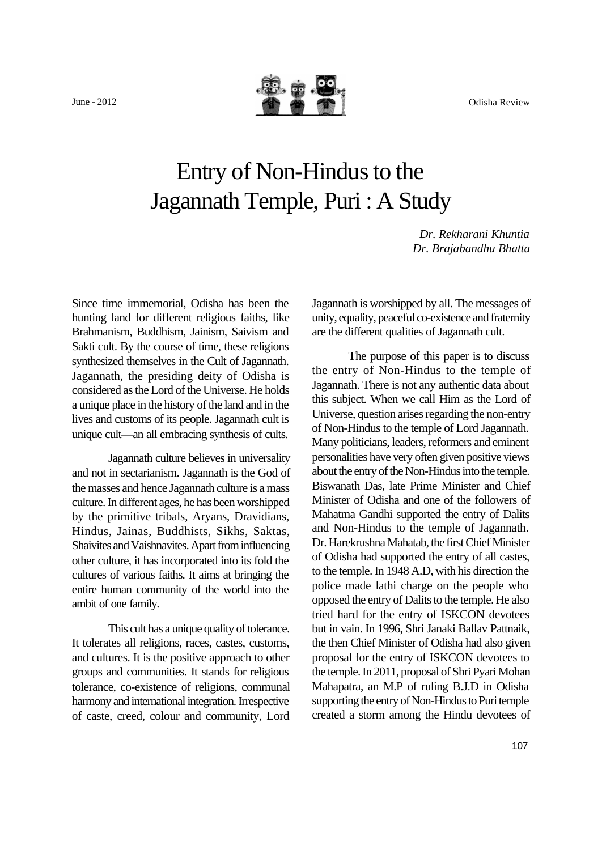June - 2012 Odisha Review

## Entry of Non-Hindus to the Jagannath Temple, Puri : A Study

*Dr. Rekharani Khuntia Dr. Brajabandhu Bhatta*

Since time immemorial, Odisha has been the hunting land for different religious faiths, like Brahmanism, Buddhism, Jainism, Saivism and Sakti cult. By the course of time, these religions synthesized themselves in the Cult of Jagannath. Jagannath, the presiding deity of Odisha is considered as the Lord of the Universe. He holds a unique place in the history of the land and in the lives and customs of its people. Jagannath cult is unique cult—an all embracing synthesis of cults.

Jagannath culture believes in universality and not in sectarianism. Jagannath is the God of the masses and hence Jagannath culture is a mass culture. In different ages, he has been worshipped by the primitive tribals, Aryans, Dravidians, Hindus, Jainas, Buddhists, Sikhs, Saktas, Shaivites and Vaishnavites. Apart from influencing other culture, it has incorporated into its fold the cultures of various faiths. It aims at bringing the entire human community of the world into the ambit of one family.

This cult has a unique quality of tolerance. It tolerates all religions, races, castes, customs, and cultures. It is the positive approach to other groups and communities. It stands for religious tolerance, co-existence of religions, communal harmony and international integration. Irrespective of caste, creed, colour and community, Lord Jagannath is worshipped by all. The messages of unity, equality, peaceful co-existence and fraternity are the different qualities of Jagannath cult.

The purpose of this paper is to discuss the entry of Non-Hindus to the temple of Jagannath. There is not any authentic data about this subject. When we call Him as the Lord of Universe, question arises regarding the non-entry of Non-Hindus to the temple of Lord Jagannath. Many politicians, leaders, reformers and eminent personalities have very often given positive views about the entry of the Non-Hindus into the temple. Biswanath Das, late Prime Minister and Chief Minister of Odisha and one of the followers of Mahatma Gandhi supported the entry of Dalits and Non-Hindus to the temple of Jagannath. Dr. Harekrushna Mahatab, the first Chief Minister of Odisha had supported the entry of all castes, to the temple. In 1948 A.D, with his direction the police made lathi charge on the people who opposed the entry of Dalits to the temple. He also tried hard for the entry of ISKCON devotees but in vain. In 1996, Shri Janaki Ballav Pattnaik, the then Chief Minister of Odisha had also given proposal for the entry of ISKCON devotees to the temple. In 2011, proposal of Shri Pyari Mohan Mahapatra, an M.P of ruling B.J.D in Odisha supporting the entry of Non-Hindus to Puri temple created a storm among the Hindu devotees of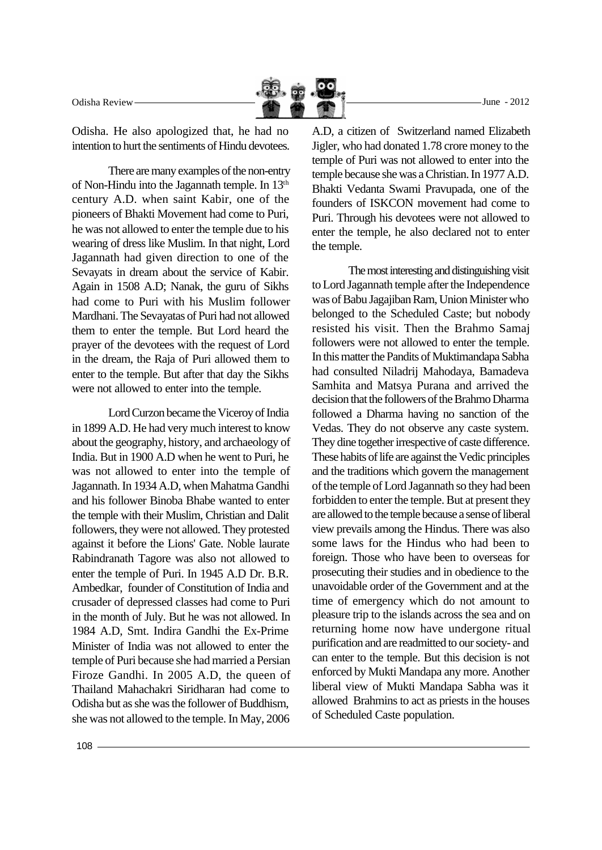Odisha Review June -  $2012$ 

Odisha. He also apologized that, he had no intention to hurt the sentiments of Hindu devotees.

There are many examples of the non-entry of Non-Hindu into the Jagannath temple. In 13th century A.D. when saint Kabir, one of the pioneers of Bhakti Movement had come to Puri, he was not allowed to enter the temple due to his wearing of dress like Muslim. In that night, Lord Jagannath had given direction to one of the Sevayats in dream about the service of Kabir. Again in 1508 A.D; Nanak, the guru of Sikhs had come to Puri with his Muslim follower Mardhani. The Sevayatas of Puri had not allowed them to enter the temple. But Lord heard the prayer of the devotees with the request of Lord in the dream, the Raja of Puri allowed them to enter to the temple. But after that day the Sikhs were not allowed to enter into the temple.

Lord Curzon became the Viceroy of India in 1899 A.D. He had very much interest to know about the geography, history, and archaeology of India. But in 1900 A.D when he went to Puri, he was not allowed to enter into the temple of Jagannath. In 1934 A.D, when Mahatma Gandhi and his follower Binoba Bhabe wanted to enter the temple with their Muslim, Christian and Dalit followers, they were not allowed. They protested against it before the Lions' Gate. Noble laurate Rabindranath Tagore was also not allowed to enter the temple of Puri. In 1945 A.D Dr. B.R. Ambedkar, founder of Constitution of India and crusader of depressed classes had come to Puri in the month of July. But he was not allowed. In 1984 A.D, Smt. Indira Gandhi the Ex-Prime Minister of India was not allowed to enter the temple of Puri because she had married a Persian Firoze Gandhi. In 2005 A.D, the queen of Thailand Mahachakri Siridharan had come to Odisha but as she was the follower of Buddhism, she was not allowed to the temple. In May, 2006

A.D, a citizen of Switzerland named Elizabeth Jigler, who had donated 1.78 crore money to the temple of Puri was not allowed to enter into the temple because she was a Christian. In 1977 A.D. Bhakti Vedanta Swami Pravupada, one of the founders of ISKCON movement had come to Puri. Through his devotees were not allowed to enter the temple, he also declared not to enter the temple.

The most interesting and distinguishing visit to Lord Jagannath temple after the Independence was of Babu Jagajiban Ram, Union Minister who belonged to the Scheduled Caste; but nobody resisted his visit. Then the Brahmo Samaj followers were not allowed to enter the temple. In this matter the Pandits of Muktimandapa Sabha had consulted Niladrij Mahodaya, Bamadeva Samhita and Matsya Purana and arrived the decision that the followers of the Brahmo Dharma followed a Dharma having no sanction of the Vedas. They do not observe any caste system. They dine together irrespective of caste difference. These habits of life are against the Vedic principles and the traditions which govern the management of the temple of Lord Jagannath so they had been forbidden to enter the temple. But at present they are allowed to the temple because a sense of liberal view prevails among the Hindus. There was also some laws for the Hindus who had been to foreign. Those who have been to overseas for prosecuting their studies and in obedience to the unavoidable order of the Government and at the time of emergency which do not amount to pleasure trip to the islands across the sea and on returning home now have undergone ritual purification and are readmitted to our society- and can enter to the temple. But this decision is not enforced by Mukti Mandapa any more. Another liberal view of Mukti Mandapa Sabha was it allowed Brahmins to act as priests in the houses of Scheduled Caste population.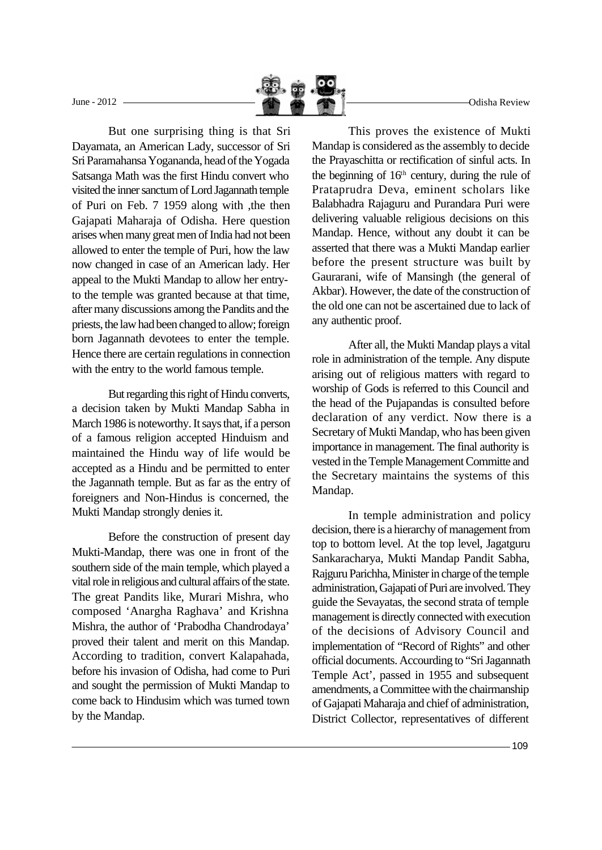June - 2012 Odisha Review

But one surprising thing is that Sri Dayamata, an American Lady, successor of Sri Sri Paramahansa Yogananda, head of the Yogada Satsanga Math was the first Hindu convert who visited the inner sanctum of Lord Jagannath temple of Puri on Feb. 7 1959 along with ,the then Gajapati Maharaja of Odisha. Here question arises when many great men of India had not been allowed to enter the temple of Puri, how the law now changed in case of an American lady. Her appeal to the Mukti Mandap to allow her entryto the temple was granted because at that time, after many discussions among the Pandits and the priests, the law had been changed to allow; foreign born Jagannath devotees to enter the temple. Hence there are certain regulations in connection with the entry to the world famous temple.

But regarding this right of Hindu converts, a decision taken by Mukti Mandap Sabha in March 1986 is noteworthy. It says that, if a person of a famous religion accepted Hinduism and maintained the Hindu way of life would be accepted as a Hindu and be permitted to enter the Jagannath temple. But as far as the entry of foreigners and Non-Hindus is concerned, the Mukti Mandap strongly denies it.

Before the construction of present day Mukti-Mandap, there was one in front of the southern side of the main temple, which played a vital role in religious and cultural affairs of the state. The great Pandits like, Murari Mishra, who composed 'Anargha Raghava' and Krishna Mishra, the author of 'Prabodha Chandrodaya' proved their talent and merit on this Mandap. According to tradition, convert Kalapahada, before his invasion of Odisha, had come to Puri and sought the permission of Mukti Mandap to come back to Hindusim which was turned town by the Mandap.

This proves the existence of Mukti Mandap is considered as the assembly to decide the Prayaschitta or rectification of sinful acts. In the beginning of  $16<sup>th</sup>$  century, during the rule of Prataprudra Deva, eminent scholars like Balabhadra Rajaguru and Purandara Puri were delivering valuable religious decisions on this Mandap. Hence, without any doubt it can be asserted that there was a Mukti Mandap earlier before the present structure was built by Gaurarani, wife of Mansingh (the general of Akbar). However, the date of the construction of the old one can not be ascertained due to lack of any authentic proof.

After all, the Mukti Mandap plays a vital role in administration of the temple. Any dispute arising out of religious matters with regard to worship of Gods is referred to this Council and the head of the Pujapandas is consulted before declaration of any verdict. Now there is a Secretary of Mukti Mandap, who has been given importance in management. The final authority is vested in the Temple Management Committe and the Secretary maintains the systems of this Mandap.

In temple administration and policy decision, there is a hierarchy of management from top to bottom level. At the top level, Jagatguru Sankaracharya, Mukti Mandap Pandit Sabha, Rajguru Parichha, Minister in charge of the temple administration, Gajapati of Puri are involved. They guide the Sevayatas, the second strata of temple management is directly connected with execution of the decisions of Advisory Council and implementation of "Record of Rights" and other official documents. Accourding to "Sri Jagannath Temple Act', passed in 1955 and subsequent amendments, a Committee with the chairmanship of Gajapati Maharaja and chief of administration, District Collector, representatives of different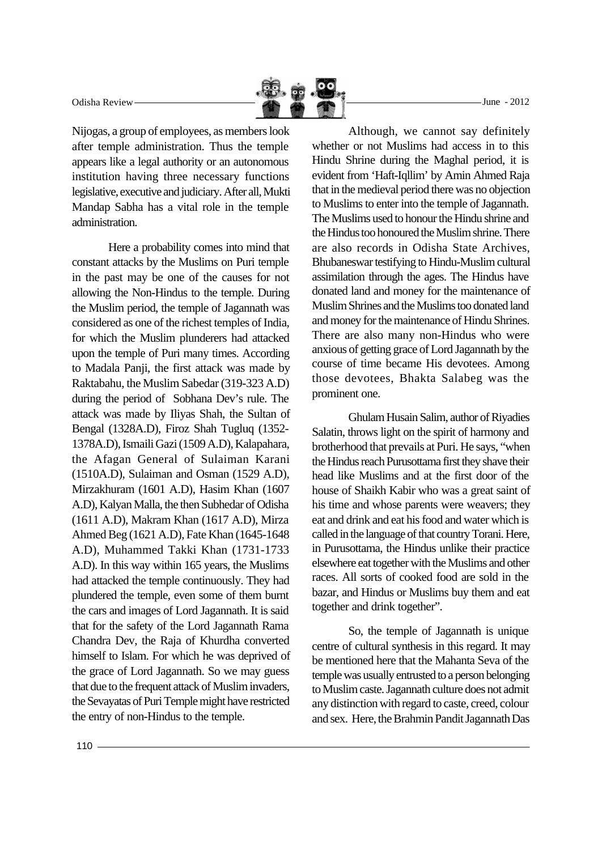Nijogas, a group of employees, as members look after temple administration. Thus the temple appears like a legal authority or an autonomous institution having three necessary functions legislative, executive and judiciary. After all, Mukti Mandap Sabha has a vital role in the temple administration.

Here a probability comes into mind that constant attacks by the Muslims on Puri temple in the past may be one of the causes for not allowing the Non-Hindus to the temple. During the Muslim period, the temple of Jagannath was considered as one of the richest temples of India, for which the Muslim plunderers had attacked upon the temple of Puri many times. According to Madala Panji, the first attack was made by Raktabahu, the Muslim Sabedar (319-323 A.D) during the period of Sobhana Dev's rule. The attack was made by Iliyas Shah, the Sultan of Bengal (1328A.D), Firoz Shah Tugluq (1352- 1378A.D), Ismaili Gazi (1509 A.D), Kalapahara, the Afagan General of Sulaiman Karani (1510A.D), Sulaiman and Osman (1529 A.D), Mirzakhuram (1601 A.D), Hasim Khan (1607 A.D), Kalyan Malla, the then Subhedar of Odisha (1611 A.D), Makram Khan (1617 A.D), Mirza Ahmed Beg (1621 A.D), Fate Khan (1645-1648 A.D), Muhammed Takki Khan (1731-1733 A.D). In this way within 165 years, the Muslims had attacked the temple continuously. They had plundered the temple, even some of them burnt the cars and images of Lord Jagannath. It is said that for the safety of the Lord Jagannath Rama Chandra Dev, the Raja of Khurdha converted himself to Islam. For which he was deprived of the grace of Lord Jagannath. So we may guess that due to the frequent attack of Muslim invaders, the Sevayatas of Puri Temple might have restricted the entry of non-Hindus to the temple.

Although, we cannot say definitely whether or not Muslims had access in to this Hindu Shrine during the Maghal period, it is evident from 'Haft-Iqllim' by Amin Ahmed Raja that in the medieval period there was no objection to Muslims to enter into the temple of Jagannath. The Muslims used to honour the Hindu shrine and the Hindus too honoured the Muslim shrine. There are also records in Odisha State Archives, Bhubaneswar testifying to Hindu-Muslim cultural assimilation through the ages. The Hindus have donated land and money for the maintenance of Muslim Shrines and the Muslims too donated land and money for the maintenance of Hindu Shrines. There are also many non-Hindus who were anxious of getting grace of Lord Jagannath by the course of time became His devotees. Among those devotees, Bhakta Salabeg was the prominent one.

Ghulam Husain Salim, author of Riyadies Salatin, throws light on the spirit of harmony and brotherhood that prevails at Puri. He says, "when the Hindus reach Purusottama first they shave their head like Muslims and at the first door of the house of Shaikh Kabir who was a great saint of his time and whose parents were weavers; they eat and drink and eat his food and water which is called in the language of that country Torani. Here, in Purusottama, the Hindus unlike their practice elsewhere eat together with the Muslims and other races. All sorts of cooked food are sold in the bazar, and Hindus or Muslims buy them and eat together and drink together".

So, the temple of Jagannath is unique centre of cultural synthesis in this regard. It may be mentioned here that the Mahanta Seva of the temple was usually entrusted to a person belonging to Muslim caste. Jagannath culture does not admit any distinction with regard to caste, creed, colour and sex. Here, the Brahmin Pandit Jagannath Das

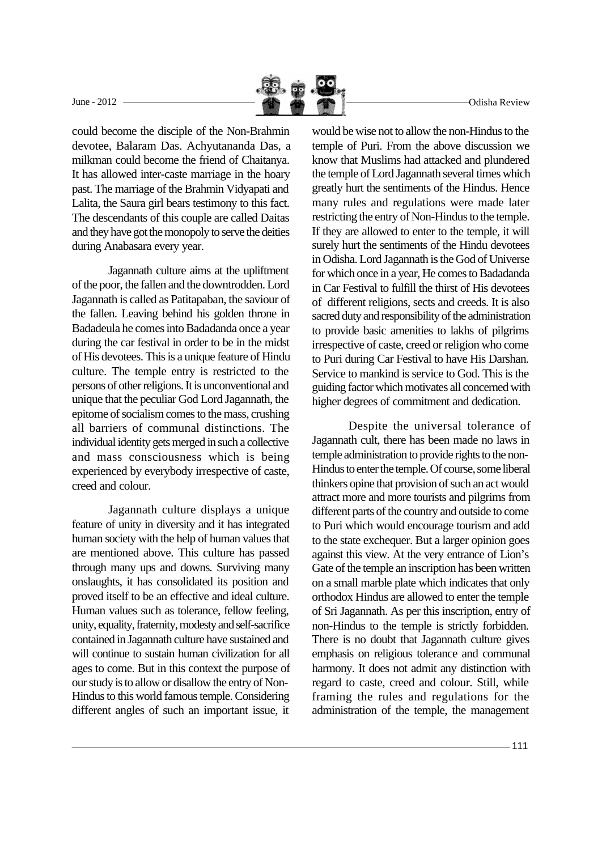

could become the disciple of the Non-Brahmin devotee, Balaram Das. Achyutananda Das, a milkman could become the friend of Chaitanya. It has allowed inter-caste marriage in the hoary past. The marriage of the Brahmin Vidyapati and Lalita, the Saura girl bears testimony to this fact. The descendants of this couple are called Daitas and they have got the monopoly to serve the deities during Anabasara every year.

Jagannath culture aims at the upliftment of the poor, the fallen and the downtrodden. Lord Jagannath is called as Patitapaban, the saviour of the fallen. Leaving behind his golden throne in Badadeula he comes into Badadanda once a year during the car festival in order to be in the midst of His devotees. This is a unique feature of Hindu culture. The temple entry is restricted to the persons of other religions. It is unconventional and unique that the peculiar God Lord Jagannath, the epitome of socialism comes to the mass, crushing all barriers of communal distinctions. The individual identity gets merged in such a collective and mass consciousness which is being experienced by everybody irrespective of caste, creed and colour.

Jagannath culture displays a unique feature of unity in diversity and it has integrated human society with the help of human values that are mentioned above. This culture has passed through many ups and downs. Surviving many onslaughts, it has consolidated its position and proved itself to be an effective and ideal culture. Human values such as tolerance, fellow feeling, unity, equality, fraternity, modesty and self-sacrifice contained in Jagannath culture have sustained and will continue to sustain human civilization for all ages to come. But in this context the purpose of our study is to allow or disallow the entry of Non-Hindus to this world famous temple. Considering different angles of such an important issue, it

would be wise not to allow the non-Hindus to the temple of Puri. From the above discussion we know that Muslims had attacked and plundered the temple of Lord Jagannath several times which greatly hurt the sentiments of the Hindus. Hence many rules and regulations were made later restricting the entry of Non-Hindus to the temple. If they are allowed to enter to the temple, it will surely hurt the sentiments of the Hindu devotees in Odisha. Lord Jagannath is the God of Universe for which once in a year, He comes to Badadanda in Car Festival to fulfill the thirst of His devotees of different religions, sects and creeds. It is also sacred duty and responsibility of the administration to provide basic amenities to lakhs of pilgrims irrespective of caste, creed or religion who come to Puri during Car Festival to have His Darshan. Service to mankind is service to God. This is the guiding factor which motivates all concerned with higher degrees of commitment and dedication.

Despite the universal tolerance of Jagannath cult, there has been made no laws in temple administration to provide rights to the non-Hindus to enter the temple. Of course, some liberal thinkers opine that provision of such an act would attract more and more tourists and pilgrims from different parts of the country and outside to come to Puri which would encourage tourism and add to the state exchequer. But a larger opinion goes against this view. At the very entrance of Lion's Gate of the temple an inscription has been written on a small marble plate which indicates that only orthodox Hindus are allowed to enter the temple of Sri Jagannath. As per this inscription, entry of non-Hindus to the temple is strictly forbidden. There is no doubt that Jagannath culture gives emphasis on religious tolerance and communal harmony. It does not admit any distinction with regard to caste, creed and colour. Still, while framing the rules and regulations for the administration of the temple, the management